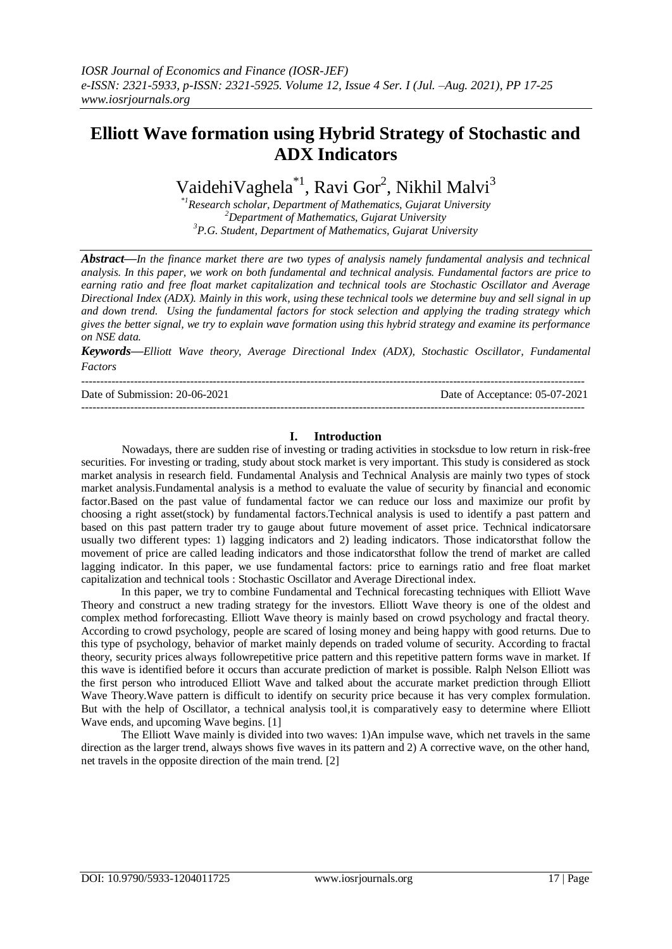# **Elliott Wave formation using Hybrid Strategy of Stochastic and ADX Indicators**

VaidehiVaghela<sup>\*1</sup>, Ravi Gor<sup>2</sup>, Nikhil Malvi<sup>3</sup>

\**<sup>1</sup>Research scholar, Department of Mathematics, Gujarat University <sup>2</sup>Department of Mathematics, Gujarat University <sup>3</sup>P.G. Student, Department of Mathematics, Gujarat University*

*Abstract—In the finance market there are two types of analysis namely fundamental analysis and technical analysis. In this paper, we work on both fundamental and technical analysis. Fundamental factors are price to earning ratio and free float market capitalization and technical tools are Stochastic Oscillator and Average Directional Index (ADX). Mainly in this work, using these technical tools we determine buy and sell signal in up and down trend. Using the fundamental factors for stock selection and applying the trading strategy which gives the better signal, we try to explain wave formation using this hybrid strategy and examine its performance on NSE data.*

*Keywords—Elliott Wave theory, Average Directional Index (ADX), Stochastic Oscillator, Fundamental Factors*

-------------------------------------------------------------------------------------------------------------------------------------- Date of Submission: 20-06-2021 Date of Acceptance: 05-07-2021 --------------------------------------------------------------------------------------------------------------------------------------

# **I. Introduction**

Nowadays, there are sudden rise of investing or trading activities in stocksdue to low return in risk-free securities. For investing or trading, study about stock market is very important. This study is considered as stock market analysis in research field. Fundamental Analysis and Technical Analysis are mainly two types of stock market analysis.Fundamental analysis is a method to evaluate the value of security by financial and economic factor.Based on the past value of fundamental factor we can reduce our loss and maximize our profit by choosing a right asset(stock) by fundamental factors.Technical analysis is used to identify a past pattern and based on this past pattern trader try to gauge about future movement of asset price. Technical indicatorsare usually two different types: 1) lagging indicators and 2) leading indicators. Those indicatorsthat follow the movement of price are called leading indicators and those indicatorsthat follow the trend of market are called lagging indicator. In this paper, we use fundamental factors: price to earnings ratio and free float market capitalization and technical tools : Stochastic Oscillator and Average Directional index.

In this paper, we try to combine Fundamental and Technical forecasting techniques with Elliott Wave Theory and construct a new trading strategy for the investors. Elliott Wave theory is one of the oldest and complex method forforecasting. Elliott Wave theory is mainly based on crowd psychology and fractal theory. According to crowd psychology, people are scared of losing money and being happy with good returns. Due to this type of psychology, behavior of market mainly depends on traded volume of security. According to fractal theory, security prices always followrepetitive price pattern and this repetitive pattern forms wave in market. If this wave is identified before it occurs than accurate prediction of market is possible. Ralph Nelson Elliott was the first person who introduced Elliott Wave and talked about the accurate market prediction through Elliott Wave Theory.Wave pattern is difficult to identify on security price because it has very complex formulation. But with the help of Oscillator, a technical analysis tool,it is comparatively easy to determine where Elliott Wave ends, and upcoming Wave begins. [1]

The Elliott Wave mainly is divided into two waves: 1)An impulse wave, which net travels in the same direction as the larger trend, always shows five waves in its pattern and 2) A corrective wave, on the other hand, net travels in the opposite direction of the main trend. [2]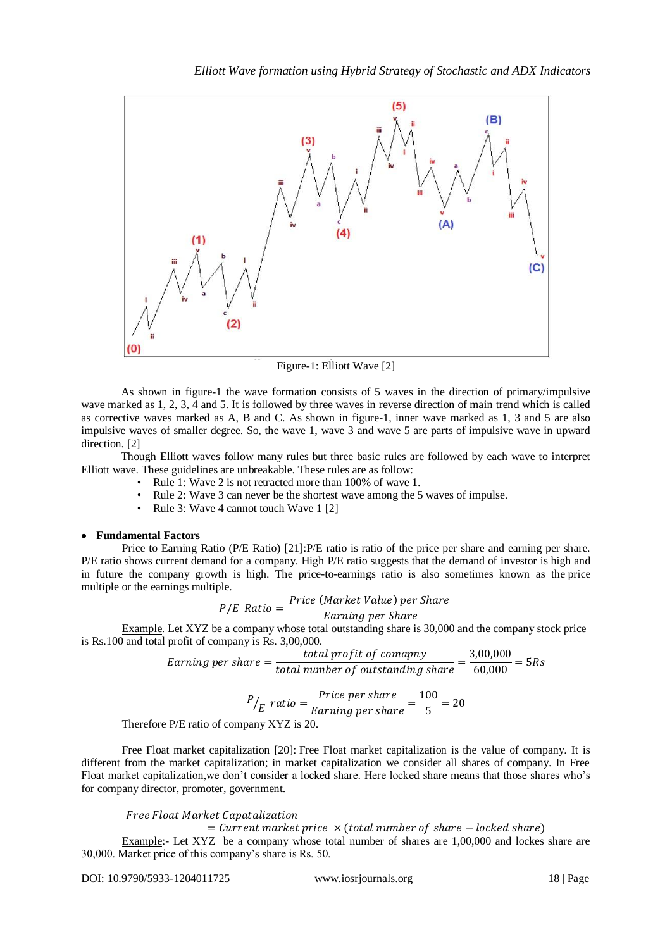

Figure-1: Elliott Wave [2]

As shown in figure-1 the wave formation consists of 5 waves in the direction of primary/impulsive wave marked as 1, 2, 3, 4 and 5. It is followed by three waves in reverse direction of main trend which is called as corrective waves marked as A, B and C. As shown in figure-1, inner wave marked as 1, 3 and 5 are also impulsive waves of smaller degree. So, the wave 1, wave 3 and wave 5 are parts of impulsive wave in upward direction. [2]

Though Elliott waves follow many rules but three basic rules are followed by each wave to interpret Elliott wave. These guidelines are unbreakable. These rules are as follow:

- Rule 1: Wave 2 is not retracted more than 100% of wave 1.
- Rule 2: Wave 3 can never be the shortest wave among the 5 waves of impulse.
- Rule 3: Wave 4 cannot touch Wave 1 [2]

# **Fundamental Factors**

Price to Earning Ratio (P/E Ratio) [21]:P/E ratio is ratio of the price per share and earning per share. P/E ratio shows current demand for a company. High P/E ratio suggests that the demand of investor is high and in future the company growth is high. The price-to-earnings ratio is also sometimes known as the price multiple or the earnings multiple.

$$
P/E \quad Ratio = \frac{Price \ (Market \ Value) \ per \ Share}{Earning \ per \ Share}
$$

Example. Let XYZ be a company whose total outstanding share is 30,000 and the company stock price is Rs.100 and total profit of company is Rs. 3,00,000.

$$
Earning\ per\ share = \frac{total\ profit\ of\ company}{total\ number\ of\ outstanding\ share} = \frac{3,00,000}{60,000} = 5Rs
$$

$$
P/_{E} ratio = \frac{Price\ per\ share}{Earning\ per\ share} = \frac{100}{5} = 20
$$

Therefore P/E ratio of company XYZ is 20.

Free Float market capitalization [20]: Free Float market capitalization is the value of company. It is different from the market capitalization; in market capitalization we consider all shares of company. In Free Float market capitalization,we don't consider a locked share. Here locked share means that those shares who's for company director, promoter, government.

# Free Float Market Capatalization

 $=$  Current market price  $\times$  (total number of share  $-$  locked share)

Example:- Let XYZ be a company whose total number of shares are 1,00,000 and lockes share are 30,000. Market price of this company's share is Rs. 50.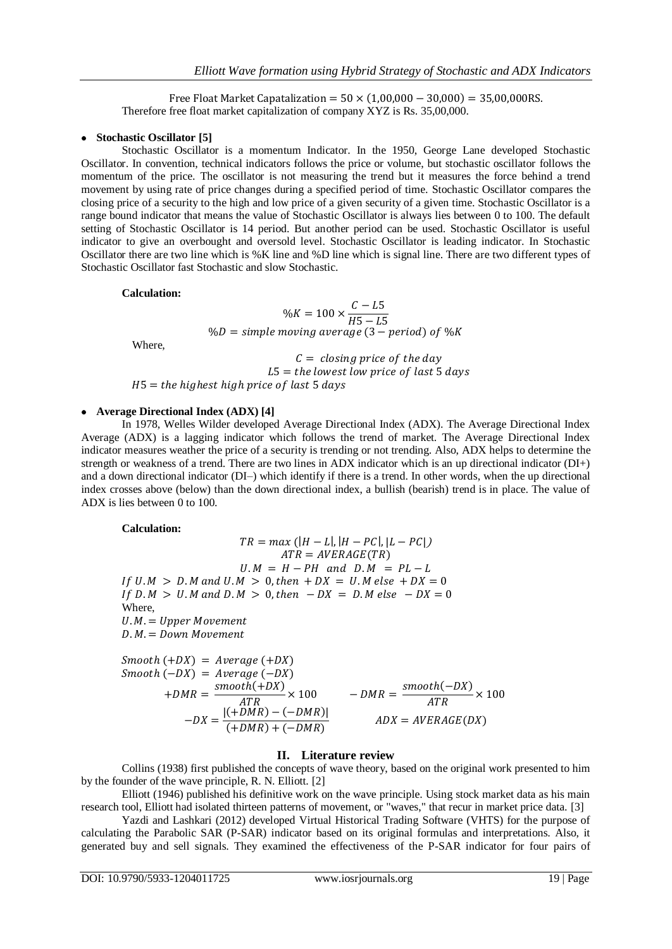Free Float Market Capatalization =  $50 \times (1.00.000 - 30.000) = 35.00.000R$ . Therefore free float market capitalization of company XYZ is Rs. 35,00,000.

### • Stochastic Oscillator<sup>[5]</sup>

Stochastic Oscillator is a momentum Indicator. In the 1950, George Lane developed Stochastic Oscillator. In convention, technical indicators follows the price or volume, but stochastic oscillator follows the momentum of the price. The oscillator is not measuring the trend but it measures the force behind a trend movement by using rate of price changes during a specified period of time. Stochastic Oscillator compares the closing price of a security to the high and low price of a given security of a given time. Stochastic Oscillator is a range bound indicator that means the value of Stochastic Oscillator is always lies between 0 to 100. The default setting of Stochastic Oscillator is 14 period. But another period can be used. Stochastic Oscillator is useful indicator to give an overbought and oversold level. Stochastic Oscillator is leading indicator. In Stochastic Oscillator there are two line which is %K line and %D line which is signal line. There are two different types of Stochastic Oscillator fast Stochastic and slow Stochastic.

#### **Calculation:**

$$
\%K = 100 \times \frac{C - L5}{H5 - L5}
$$
  

$$
\%D = simple moving average (3 - period) of %K
$$

Where,

 $C = closing\ price\ of\ the\ day$  $L5 =$  the lowest low price of last 5 days  $H5 =$  the highest high price of last 5 days

### **Average Directional Index (ADX) [4]**

In 1978, Welles Wilder developed Average Directional Index (ADX). The Average Directional Index Average (ADX) is a lagging indicator which follows the trend of market. The Average Directional Index indicator measures weather the price of a security is trending or not trending. Also, ADX helps to determine the strength or weakness of a trend. There are two lines in ADX indicator which is an up directional indicator (DI+) and a down directional indicator (DI–) which identify if there is a trend. In other words, when the up directional index crosses above (below) than the down directional index, a bullish (bearish) trend is in place. The value of ADX is lies between 0 to 100.

**Calculation:**

 $TR = max (|H - L|, |H - PC|, |L - PC|)$  $ATR = AVERAGE(TR)$  $U.M = H - PH$  and  $D.M = PL - L$ If  $U.M > D.M$  and  $U.M > 0$ , then  $+DX = U.M$  else  $+DX = 0$ If D.M > U.M and D.M > 0, then  $-DX = D$ .M else  $-DX = 0$ Where,  $U.M. = Upper Movement$  $D.M. = Down\ Movement$  $Smooth (+DX) = Average (+DX)$ 

$$
Smooth (-DX) = Average (-DX)
$$
  
+
$$
DMR = \frac{smooth(+DX)}{ATR} \times 100
$$
  
-
$$
DX = \frac{|(+DMR) - (-DMR)|}{(+DMR) + (-DMR)}
$$
  
ADX = AVERAGE(DX)

#### **II. Literature review**

Collins (1938) first published the concepts of wave theory, based on the original work presented to him by the founder of the wave principle, R. N. Elliott. [2]

Elliott (1946) published his definitive work on the wave principle. Using stock market data as his main research tool, Elliott had isolated thirteen patterns of movement, or "waves," that recur in market price data. [3]

Yazdi and Lashkari (2012) developed Virtual Historical Trading Software (VHTS) for the purpose of calculating the Parabolic SAR (P-SAR) indicator based on its original formulas and interpretations. Also, it generated buy and sell signals. They examined the effectiveness of the P-SAR indicator for four pairs of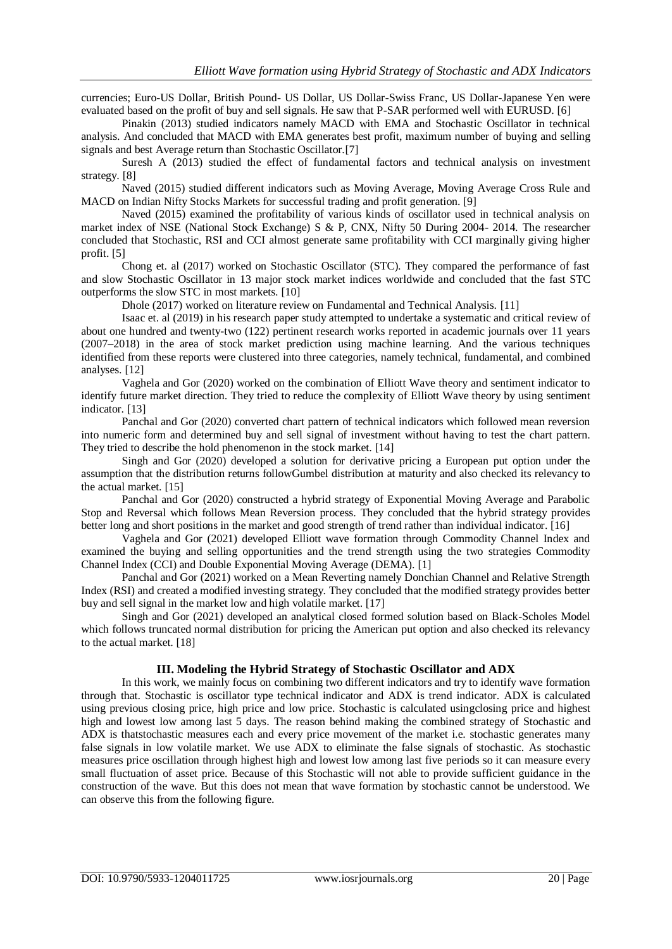currencies; Euro-US Dollar, British Pound- US Dollar, US Dollar-Swiss Franc, US Dollar-Japanese Yen were evaluated based on the profit of buy and sell signals. He saw that P-SAR performed well with EURUSD. [6]

Pinakin (2013) studied indicators namely MACD with EMA and Stochastic Oscillator in technical analysis. And concluded that MACD with EMA generates best profit, maximum number of buying and selling signals and best Average return than Stochastic Oscillator.[7]

Suresh A (2013) studied the effect of fundamental factors and technical analysis on investment strategy. [8]

Naved (2015) studied different indicators such as Moving Average, Moving Average Cross Rule and MACD on Indian Nifty Stocks Markets for successful trading and profit generation. [9]

Naved (2015) examined the profitability of various kinds of oscillator used in technical analysis on market index of NSE (National Stock Exchange) S & P, CNX, Nifty 50 During 2004- 2014. The researcher concluded that Stochastic, RSI and CCI almost generate same profitability with CCI marginally giving higher profit. [5]

Chong et. al (2017) worked on Stochastic Oscillator (STC). They compared the performance of fast and slow Stochastic Oscillator in 13 major stock market indices worldwide and concluded that the fast STC outperforms the slow STC in most markets. [10]

Dhole (2017) worked on literature review on Fundamental and Technical Analysis. [11]

Isaac et. al (2019) in his research paper study attempted to undertake a systematic and critical review of about one hundred and twenty-two (122) pertinent research works reported in academic journals over 11 years (2007–2018) in the area of stock market prediction using machine learning. And the various techniques identified from these reports were clustered into three categories, namely technical, fundamental, and combined analyses. [12]

Vaghela and Gor (2020) worked on the combination of Elliott Wave theory and sentiment indicator to identify future market direction. They tried to reduce the complexity of Elliott Wave theory by using sentiment indicator. [13]

Panchal and Gor (2020) converted chart pattern of technical indicators which followed mean reversion into numeric form and determined buy and sell signal of investment without having to test the chart pattern. They tried to describe the hold phenomenon in the stock market. [14]

Singh and Gor (2020) developed a solution for derivative pricing a European put option under the assumption that the distribution returns followGumbel distribution at maturity and also checked its relevancy to the actual market. [15]

Panchal and Gor (2020) constructed a hybrid strategy of Exponential Moving Average and Parabolic Stop and Reversal which follows Mean Reversion process. They concluded that the hybrid strategy provides better long and short positions in the market and good strength of trend rather than individual indicator. [16]

Vaghela and Gor (2021) developed Elliott wave formation through Commodity Channel Index and examined the buying and selling opportunities and the trend strength using the two strategies Commodity Channel Index (CCI) and Double Exponential Moving Average (DEMA). [1]

Panchal and Gor (2021) worked on a Mean Reverting namely Donchian Channel and Relative Strength Index (RSI) and created a modified investing strategy. They concluded that the modified strategy provides better buy and sell signal in the market low and high volatile market. [17]

Singh and Gor (2021) developed an analytical closed formed solution based on Black-Scholes Model which follows truncated normal distribution for pricing the American put option and also checked its relevancy to the actual market. [18]

# **III. Modeling the Hybrid Strategy of Stochastic Oscillator and ADX**

In this work, we mainly focus on combining two different indicators and try to identify wave formation through that. Stochastic is oscillator type technical indicator and ADX is trend indicator. ADX is calculated using previous closing price, high price and low price. Stochastic is calculated usingclosing price and highest high and lowest low among last 5 days. The reason behind making the combined strategy of Stochastic and ADX is thatstochastic measures each and every price movement of the market i.e. stochastic generates many false signals in low volatile market. We use ADX to eliminate the false signals of stochastic. As stochastic measures price oscillation through highest high and lowest low among last five periods so it can measure every small fluctuation of asset price. Because of this Stochastic will not able to provide sufficient guidance in the construction of the wave. But this does not mean that wave formation by stochastic cannot be understood. We can observe this from the following figure.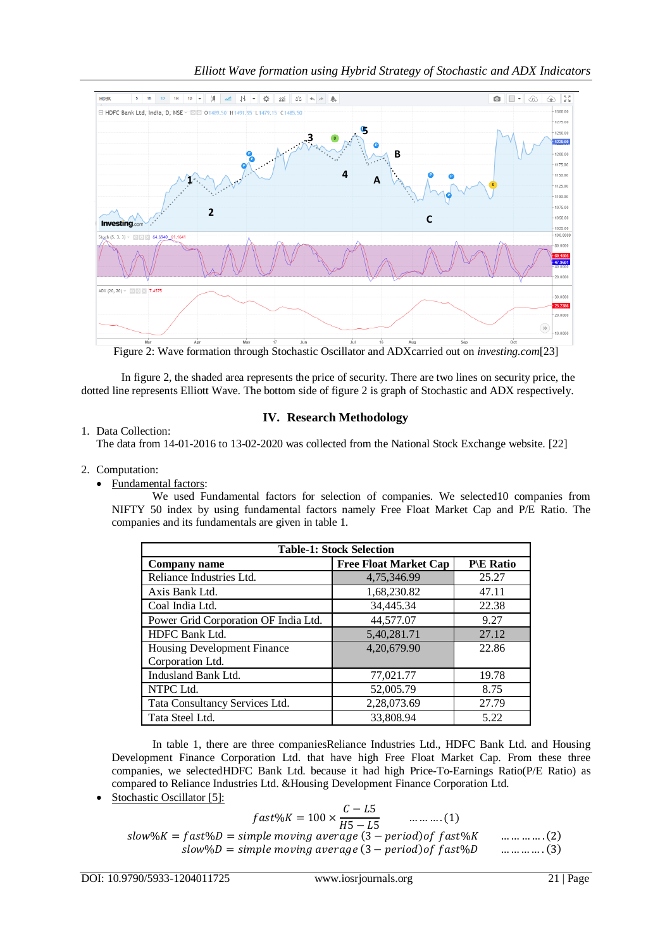

Figure 2: Wave formation through Stochastic Oscillator and ADXcarried out on *investing.com*[23]

In figure 2, the shaded area represents the price of security. There are two lines on security price, the dotted line represents Elliott Wave. The bottom side of figure 2 is graph of Stochastic and ADX respectively.

1. Data Collection:

# **IV. Research Methodology**

The data from 14-01-2016 to 13-02-2020 was collected from the National Stock Exchange website. [22]

- 2. Computation:
	- Fundamental factors:

We used Fundamental factors for selection of companies. We selected10 companies from NIFTY 50 index by using fundamental factors namely Free Float Market Cap and P/E Ratio. The companies and its fundamentals are given in table 1.

| <b>Table-1: Stock Selection</b>                        |                              |                       |  |  |  |  |  |  |
|--------------------------------------------------------|------------------------------|-----------------------|--|--|--|--|--|--|
| Company name                                           | <b>Free Float Market Cap</b> | $P\backslash E$ Ratio |  |  |  |  |  |  |
| Reliance Industries Ltd.                               | 4,75,346.99                  | 25.27                 |  |  |  |  |  |  |
| Axis Bank Ltd.                                         | 1,68,230.82                  | 47.11                 |  |  |  |  |  |  |
| Coal India Ltd.                                        | 34,445.34                    | 22.38                 |  |  |  |  |  |  |
| Power Grid Corporation OF India Ltd.                   | 44,577.07                    | 9.27                  |  |  |  |  |  |  |
| HDFC Bank Ltd.                                         | 5,40,281.71                  | 27.12                 |  |  |  |  |  |  |
| <b>Housing Development Finance</b><br>Corporation Ltd. | 4,20,679.90                  | 22.86                 |  |  |  |  |  |  |
| Indusland Bank Ltd.                                    | 77,021.77                    | 19.78                 |  |  |  |  |  |  |
| NTPC Ltd.                                              | 52,005.79                    | 8.75                  |  |  |  |  |  |  |
| Tata Consultancy Services Ltd.                         | 2,28,073.69                  | 27.79                 |  |  |  |  |  |  |
| Tata Steel Ltd.                                        | 33,808.94                    | 5.22                  |  |  |  |  |  |  |

In table 1, there are three companiesReliance Industries Ltd., HDFC Bank Ltd. and Housing Development Finance Corporation Ltd. that have high Free Float Market Cap. From these three companies, we selectedHDFC Bank Ltd. because it had high Price-To-Earnings Ratio(P/E Ratio) as compared to Reliance Industries Ltd. &Housing Development Finance Corporation Ltd.

Stochastic Oscillator [5]:

$$
fast\%K = 100 \times \frac{C - L5}{H5 - L5} \qquad \dots \dots \dots (1)
$$
  
slow\%K = fast\%D = simple moving average (3 - period) of fast\%K  $\dots \dots \dots \dots (2)$   
slow\%D = simple moving average (3 - period) of fast\%D  $\dots \dots \dots \dots \dots (3)$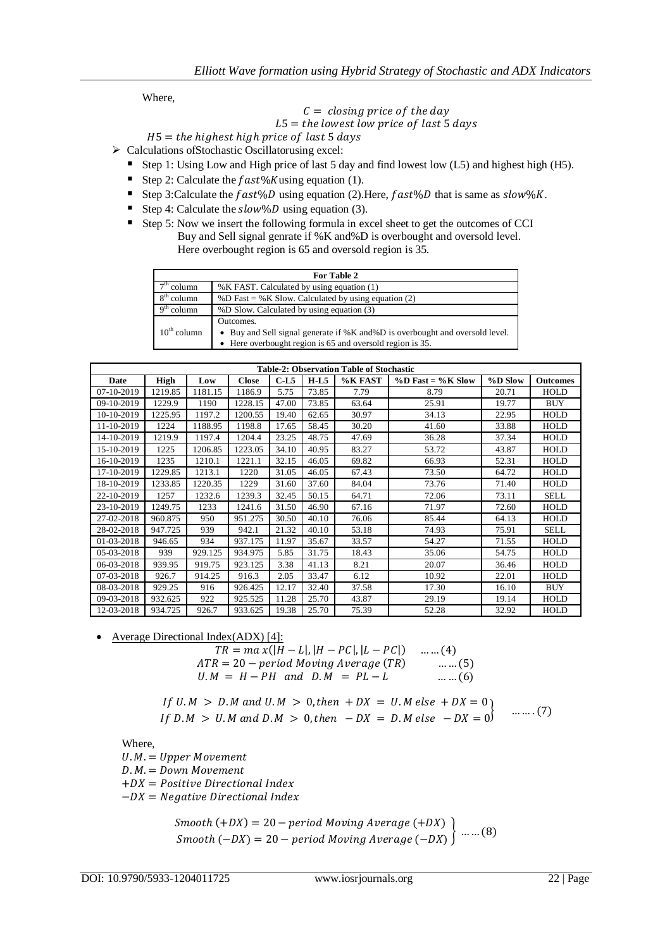Where,

#### $C = closing\ price\ of\ the\ day$  $L5 =$  the lowest low price of last 5 days

# $H5 =$  the highest high price of last 5 days

> Calculations of Stochastic Oscillatorusing excel:

- Step 1: Using Low and High price of last 5 day and find lowest low (L5) and highest high (H5).
- Step 2: Calculate the  $fast\%K$ using equation (1).
- Step 3:Calculate the  $fast\%D$  using equation (2). Here,  $fast\%D$  that is same as  $slow\%K$ .
- Step 4: Calculate the  $slow\%D$  using equation (3).
- Step 5: Now we insert the following formula in excel sheet to get the outcomes of CCI Buy and Sell signal genrate if %K and%D is overbought and oversold level. Here overbought region is 65 and oversold region is 35.

|                         | For Table 2                                                                     |
|-------------------------|---------------------------------------------------------------------------------|
| column                  | %K FAST. Calculated by using equation (1)                                       |
| $8th$ column            | %D Fast = %K Slow. Calculated by using equation (2)                             |
| $9th$ column            | %D Slow. Calculated by using equation (3)                                       |
|                         | Outcomes.                                                                       |
| $10^{\text{th}}$ column | • Buy and Sell signal generate if % K and % D is overbought and oversold level. |
|                         | • Here overbought region is 65 and oversold region is 35.                       |

| <b>Table-2: Observation Table of Stochastic</b> |         |         |              |        |        |         |                           |           |                 |  |  |
|-------------------------------------------------|---------|---------|--------------|--------|--------|---------|---------------------------|-----------|-----------------|--|--|
| Date                                            | High    | Low     | <b>Close</b> | $C-L5$ | $H-L5$ | %K FAST | $\%$ D Fast = $\%$ K Slow | $%D$ Slow | <b>Outcomes</b> |  |  |
| 07-10-2019                                      | 1219.85 | 1181.15 | 1186.9       | 5.75   | 73.85  | 7.79    | 8.79                      | 20.71     | HOLD            |  |  |
| 09-10-2019                                      | 1229.9  | 1190    | 1228.15      | 47.00  | 73.85  | 63.64   | 25.91                     | 19.77     | <b>BUY</b>      |  |  |
| 10-10-2019                                      | 1225.95 | 1197.2  | 1200.55      | 19.40  | 62.65  | 30.97   | 34.13                     | 22.95     | HOLD            |  |  |
| 11-10-2019                                      | 1224    | 1188.95 | 1198.8       | 17.65  | 58.45  | 30.20   | 41.60                     | 33.88     | HOLD            |  |  |
| 14-10-2019                                      | 1219.9  | 1197.4  | 1204.4       | 23.25  | 48.75  | 47.69   | 36.28                     | 37.34     | HOLD            |  |  |
| 15-10-2019                                      | 1225    | 1206.85 | 1223.05      | 34.10  | 40.95  | 83.27   | 53.72                     | 43.87     | HOLD            |  |  |
| 16-10-2019                                      | 1235    | 1210.1  | 1221.1       | 32.15  | 46.05  | 69.82   | 66.93                     | 52.31     | HOLD            |  |  |
| 17-10-2019                                      | 1229.85 | 1213.1  | 1220         | 31.05  | 46.05  | 67.43   | 73.50                     | 64.72     | HOLD            |  |  |
| 18-10-2019                                      | 1233.85 | 1220.35 | 1229         | 31.60  | 37.60  | 84.04   | 73.76                     | 71.40     | HOLD            |  |  |
| 22-10-2019                                      | 1257    | 1232.6  | 1239.3       | 32.45  | 50.15  | 64.71   | 72.06                     | 73.11     | <b>SELL</b>     |  |  |
| 23-10-2019                                      | 1249.75 | 1233    | 1241.6       | 31.50  | 46.90  | 67.16   | 71.97                     | 72.60     | HOLD            |  |  |
| 27-02-2018                                      | 960.875 | 950     | 951.275      | 30.50  | 40.10  | 76.06   | 85.44                     | 64.13     | HOLD            |  |  |
| 28-02-2018                                      | 947.725 | 939     | 942.1        | 21.32  | 40.10  | 53.18   | 74.93                     | 75.91     | <b>SELL</b>     |  |  |
| 01-03-2018                                      | 946.65  | 934     | 937.175      | 11.97  | 35.67  | 33.57   | 54.27                     | 71.55     | HOLD            |  |  |
| 05-03-2018                                      | 939     | 929.125 | 934.975      | 5.85   | 31.75  | 18.43   | 35.06                     | 54.75     | HOLD            |  |  |
| 06-03-2018                                      | 939.95  | 919.75  | 923.125      | 3.38   | 41.13  | 8.21    | 20.07                     | 36.46     | HOLD            |  |  |
| 07-03-2018                                      | 926.7   | 914.25  | 916.3        | 2.05   | 33.47  | 6.12    | 10.92                     | 22.01     | HOLD            |  |  |
| 08-03-2018                                      | 929.25  | 916     | 926.425      | 12.17  | 32.40  | 37.58   | 17.30                     | 16.10     | <b>BUY</b>      |  |  |
| 09-03-2018                                      | 932.625 | 922     | 925.525      | 11.28  | 25.70  | 43.87   | 29.19                     | 19.14     | HOLD            |  |  |
| 12-03-2018                                      | 934.725 | 926.7   | 933.625      | 19.38  | 25.70  | 75.39   | 52.28                     | 32.92     | HOLD            |  |  |

Average Directional Index(ADX) [4]:

$$
TR = ma x(|H - L|, |H - PC|, |L - PC|)
$$
 ....(4)  
ATR = 20 – period Moving Average (TR) ....(5)  
U.M = H – PH and D.M = PL – L ....(6)

If 
$$
U.M > D.M
$$
 and  $U.M > 0$ , then  $+DX = U.M$  else  $+DX = 0$   
If  $D.M > U.M$  and  $D.M > 0$ , then  $-DX = D.M$  else  $-DX = 0$  ....(7)

Where,

 $U.M. = Upper Movement$  $D.M. = Down\ Movement$  $+DX = Positive Directional Index$  $-DX = Negative Directional Index$ 

> S  $\begin{pmatrix} 1 & 2 & 1 \\ -DX \end{pmatrix} = 20 - period Moving Average (-DX)$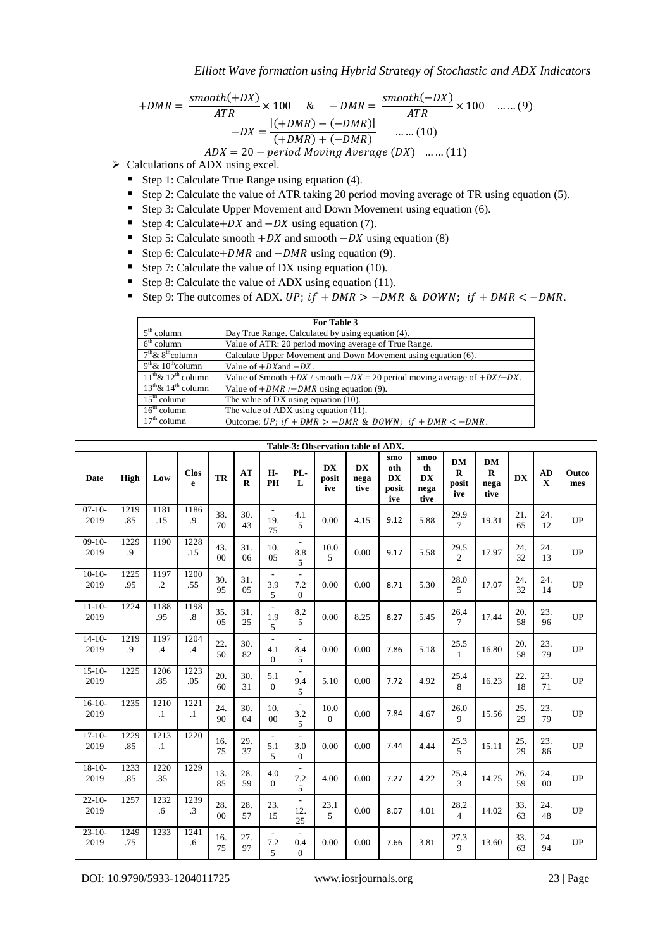$$
+DMR = \frac{smooth(+DX)}{ATR} \times 100 \quad \& \quad -DMR = \frac{smooth(-DX)}{ATR} \times 100 \quad .......(9)
$$

$$
-DX = \frac{|(+DMR) - (-DMR)|}{(+DMR) + (-DMR)} \quad .......(10)
$$

$$
ADX = 20 - period Moving Average (DX) \quad ....(11)
$$

 $\triangleright$  Calculations of ADX using excel.

- Step 1: Calculate True Range using equation (4).
- Step 2: Calculate the value of ATR taking 20 period moving average of TR using equation (5).
- Step 3: Calculate Upper Movement and Down Movement using equation (6).
- Step 4: Calculate +  $DX$  and  $-DX$  using equation (7).
- Step 5: Calculate smooth  $+DX$  and smooth  $-DX$  using equation (8)
- Step 6: Calculate + DMR and  $-DMR$  using equation (9).
- Step 7: Calculate the value of DX using equation (10).
- Step 8: Calculate the value of ADX using equation (11).
- Step 9: The outcomes of ADX. UP;  $if + DMR > -DMR$  & DOWN;  $if + DMR < -DMR$ .

| For Table 3                                |                                                                                   |  |  |  |  |  |
|--------------------------------------------|-----------------------------------------------------------------------------------|--|--|--|--|--|
| $5th$ column                               | Day True Range. Calculated by using equation (4).                                 |  |  |  |  |  |
| $6th$ column                               | Value of ATR: 20 period moving average of True Range.                             |  |  |  |  |  |
| $7th$ & $8th$ column                       | Calculate Upper Movement and Down Movement using equation (6).                    |  |  |  |  |  |
| $9th \& 10th$ column                       | Value of $+DX$ and $-DX$ .                                                        |  |  |  |  |  |
| $11^{th}$ & $12^{th}$ column               | Value of Smooth $+DX$ / smooth $-DX = 20$ period moving average of $+DX$ / $-X$ . |  |  |  |  |  |
| $13^{\text{th}}$ & $14^{\text{th}}$ column | Value of $+DMR$ /-DMR using equation (9).                                         |  |  |  |  |  |
| $15th$ column                              | The value of $DX$ using equation $(10)$ .                                         |  |  |  |  |  |
| $16th$ column                              | The value of $ADX$ using equation $(11)$ .                                        |  |  |  |  |  |
| $17th$ column                              | Outcome: UP; if + DMR > -DMR & DOWN; if + DMR $\lt$ -DMR.                         |  |  |  |  |  |

| Table-3: Observation table of ADX. |             |                    |                           |                       |                |                                                     |                                                 |                           |                           |                                         |                                         |                                       |                                          |           |                   |              |
|------------------------------------|-------------|--------------------|---------------------------|-----------------------|----------------|-----------------------------------------------------|-------------------------------------------------|---------------------------|---------------------------|-----------------------------------------|-----------------------------------------|---------------------------------------|------------------------------------------|-----------|-------------------|--------------|
| <b>Date</b>                        | <b>High</b> | Low                | <b>Clos</b><br>e          | TR                    | AT<br>$\bf{R}$ | H-<br>PH                                            | PL-<br>L                                        | <b>DX</b><br>posit<br>ive | <b>DX</b><br>nega<br>tive | smo<br>oth<br><b>DX</b><br>posit<br>ive | smoo<br>th<br><b>DX</b><br>nega<br>tive | <b>DM</b><br>$\bf{R}$<br>posit<br>ive | <b>DM</b><br>$\mathbf R$<br>nega<br>tive | <b>DX</b> | AD<br>$\mathbf X$ | Outco<br>mes |
| $07-10-$<br>2019                   | 1219<br>.85 | 1181<br>.15        | 1186<br>.9                | 38.<br>70             | 30.<br>43      | $\overline{\phantom{a}}$<br>19.<br>75               | 4.1<br>5                                        | 0.00                      | 4.15                      | 9.12                                    | 5.88                                    | 29.9<br>$\tau$                        | 19.31                                    | 21.<br>65 | 24.<br>12         | <b>UP</b>    |
| $09-10-$<br>2019                   | 1229<br>.9  | 1190               | 1228<br>.15               | 43.<br>00             | 31.<br>06      | 10.<br>05                                           | $\overline{\phantom{a}}$<br>8.8<br>5            | 10.0<br>5                 | 0.00                      | 9.17                                    | 5.58                                    | 29.5<br>$\overline{c}$                | 17.97                                    | 24.<br>32 | 24.<br>13         | UP           |
| $10-10-$<br>2019                   | 1225<br>.95 | 1197<br>$\cdot$ .2 | 1200<br>.55               | 30.<br>95             | 31.<br>05      | $\mathcal{L}_{\mathcal{A}}$<br>3.9<br>5             | ÷,<br>7.2<br>$\theta$                           | 0.00                      | 0.00                      | 8.71                                    | 5.30                                    | 28.0<br>5                             | 17.07                                    | 24.<br>32 | 24.<br>14         | <b>UP</b>    |
| $11 - 10 -$<br>2019                | 1224        | 1188<br>.95        | 1198<br>$\boldsymbol{.8}$ | 35.<br>05             | 31.<br>25      | $\overline{\phantom{a}}$<br>1.9<br>5                | 8.2<br>5                                        | 0.00                      | 8.25                      | 8.27                                    | 5.45                                    | 26.4<br>$\tau$                        | 17.44                                    | 20.<br>58 | 23.<br>96         | <b>UP</b>    |
| $14-10-$<br>2019                   | 1219<br>.9  | 1197<br>$\cdot$    | 1204<br>$\mathcal{A}$     | 22.<br>50             | 30.<br>82      | $\overline{\phantom{a}}$<br>4.1<br>$\boldsymbol{0}$ | $\overline{a}$<br>8.4<br>5                      | 0.00                      | 0.00                      | 7.86                                    | 5.18                                    | 25.5<br>$\mathbf{1}$                  | 16.80                                    | 20.<br>58 | 23.<br>79         | <b>UP</b>    |
| $15 - 10 -$<br>2019                | 1225        | 1206<br>.85        | 1223<br>.05               | 20.<br>60             | 30.<br>31      | 5.1<br>$\boldsymbol{0}$                             | $\overline{\phantom{a}}$<br>9.4<br>5            | 5.10                      | 0.00                      | 7.72                                    | 4.92                                    | 25.4<br>8                             | 16.23                                    | 22.<br>18 | 23.<br>71         | <b>UP</b>    |
| $16-10-$<br>2019                   | 1235        | 1210<br>$\cdot$ 1  | 1221<br>$\cdot$ 1         | 24.<br>90             | 30.<br>04      | 10.<br>$00\,$                                       | $\overline{\phantom{a}}$<br>3.2<br>5            | 10.0<br>$\mathbf{0}$      | 0.00                      | 7.84                                    | 4.67                                    | 26.0<br>$\mathbf{Q}$                  | 15.56                                    | 25.<br>29 | 23.<br>79         | <b>UP</b>    |
| $17-10-$<br>2019                   | 1229<br>.85 | 1213<br>$\cdot$ 1  | 1220                      | 16.<br>75             | 29.<br>37      | $\sim$<br>5.1<br>5                                  | ÷.<br>3.0<br>$\mathbf{0}$                       | 0.00                      | 0.00                      | 7.44                                    | 4.44                                    | 25.3<br>$\overline{5}$                | 15.11                                    | 25.<br>29 | 23.<br>86         | <b>UP</b>    |
| $18-10-$<br>2019                   | 1233<br>.85 | 1220<br>.35        | 1229                      | 13.<br>85             | 28.<br>59      | 4.0<br>$\mathbf{0}$                                 | $\blacksquare$<br>7.2<br>5                      | 4.00                      | 0.00                      | 7.27                                    | 4.22                                    | 25.4<br>$\mathcal{L}$                 | 14.75                                    | 26.<br>59 | 24.<br>00         | UP           |
| $22 - 10$<br>2019                  | 1257        | 1232<br>.6         | 1239<br>$\cdot$ 3         | 28.<br>0 <sub>0</sub> | 28.<br>57      | 23.<br>15                                           | $\overline{\phantom{a}}$<br>12.<br>25           | 23.1<br>5                 | 0.00                      | 8.07                                    | 4.01                                    | 28.2<br>$\overline{4}$                | 14.02                                    | 33.<br>63 | 24.<br>48         | UP           |
| $23-10-$<br>2019                   | 1249<br>.75 | 1233               | 1241<br>.6                | 16.<br>75             | 27.<br>97      | $\overline{\phantom{a}}$<br>7.2<br>5                | $\overline{\phantom{0}}$<br>0.4<br>$\mathbf{0}$ | 0.00                      | 0.00                      | 7.66                                    | 3.81                                    | 27.3<br>$\mathbf{Q}$                  | 13.60                                    | 33.<br>63 | 24.<br>94         | UP           |

DOI: 10.9790/5933-1204011725 www.iosrjournals.org 23 | Page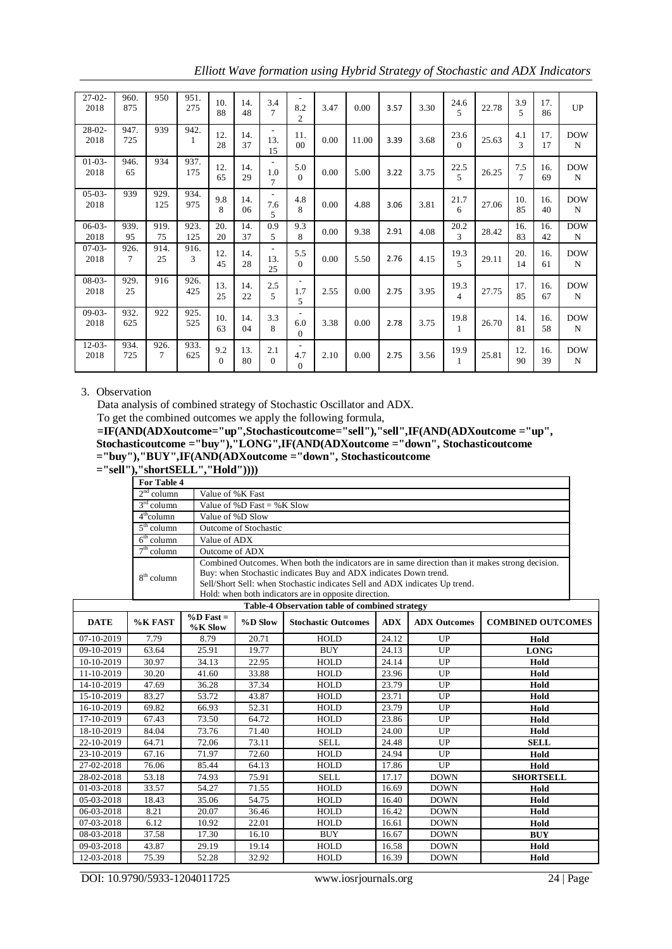| $27-02-$<br>2018 | 960.<br>875    | 950            | 951.<br>275 | 10.<br>88       | 14.<br>48 | 3.4<br>7                                          | 8.2<br>$\overline{2}$                           | 3.47 | 0.00  | 3.57 | 3.30 | 24.6<br>$\overline{\phantom{0}}$ | 22.78 | 3.9<br>5  | 17.<br>86 | <b>UP</b>       |
|------------------|----------------|----------------|-------------|-----------------|-----------|---------------------------------------------------|-------------------------------------------------|------|-------|------|------|----------------------------------|-------|-----------|-----------|-----------------|
| $28-02-$<br>2018 | 947.<br>725    | 939            | 942.<br>1   | 12.<br>28       | 14.<br>37 | $\overline{\phantom{a}}$<br>13.<br>15             | 11.<br>0 <sub>0</sub>                           | 0.00 | 11.00 | 3.39 | 3.68 | 23.6<br>$\Omega$                 | 25.63 | 4.1<br>3  | 17.<br>17 | <b>DOW</b><br>N |
| $01-03-$<br>2018 | 946.<br>65     | 934            | 937.<br>175 | 12.<br>65       | 14.<br>29 | $\overline{\phantom{a}}$<br>1.0<br>$\overline{7}$ | 5.0<br>$\Omega$                                 | 0.00 | 5.00  | 3.22 | 3.75 | 22.5<br>$\overline{5}$           | 26.25 | 7.5<br>7  | 16.<br>69 | <b>DOW</b><br>N |
| $05-03-$<br>2018 | 939            | 929.<br>125    | 934.<br>975 | 9.8<br>8        | 14.<br>06 | $\overline{\phantom{a}}$<br>7.6<br>5              | 4.8<br>8                                        | 0.00 | 4.88  | 3.06 | 3.81 | 21.7<br>6                        | 27.06 | 10.<br>85 | 16.<br>40 | <b>DOW</b><br>N |
| $06-03-$<br>2018 | 939.<br>95     | 919.<br>75     | 923.<br>125 | 20.<br>20       | 14.<br>37 | 0.9<br>5                                          | 9.3<br>8                                        | 0.00 | 9.38  | 2.91 | 4.08 | 20.2<br>3                        | 28.42 | 16.<br>83 | 16.<br>42 | <b>DOW</b><br>N |
| $07-03-$<br>2018 | 926.<br>$\tau$ | 914.<br>25     | 916.<br>3   | 12.<br>45       | 14.<br>28 | $\overline{\phantom{0}}$<br>13.<br>25             | 5.5<br>$\Omega$                                 | 0.00 | 5.50  | 2.76 | 4.15 | 19.3<br>5                        | 29.11 | 20.<br>14 | 16.<br>61 | <b>DOW</b><br>N |
| $08-03-$<br>2018 | 929.<br>25     | 916            | 926.<br>425 | 13.<br>25       | 14.<br>22 | 2.5<br>5                                          | ٠<br>1.7<br>5                                   | 2.55 | 0.00  | 2.75 | 3.95 | 19.3<br>$\overline{4}$           | 27.75 | 17.<br>85 | 16.<br>67 | <b>DOW</b><br>N |
| $09-03-$<br>2018 | 932.<br>625    | 922            | 925.<br>525 | 10.<br>63       | 14.<br>04 | 3.3<br>8                                          | ٠<br>6.0<br>$\mathbf{0}$                        | 3.38 | 0.00  | 2.78 | 3.75 | 19.8<br>$\mathbf{1}$             | 26.70 | 14.<br>81 | 16.<br>58 | <b>DOW</b><br>N |
| $12-03-$<br>2018 | 934.<br>725    | 926.<br>$\tau$ | 933.<br>625 | 9.2<br>$\Omega$ | 13.<br>80 | 2.1<br>$\Omega$                                   | $\overline{\phantom{a}}$<br>4.7<br>$\mathbf{0}$ | 2.10 | 0.00  | 2.75 | 3.56 | 19.9<br>$\mathbf{1}$             | 25.81 | 12.<br>90 | 16.<br>39 | <b>DOW</b><br>N |

*Elliott Wave formation using Hybrid Strategy of Stochastic and ADX Indicators*

# 3. Observation

Data analysis of combined strategy of Stochastic Oscillator and ADX.

To get the combined outcomes we apply the following formula,

**=IF(AND(ADXoutcome="up",Stochasticoutcome="sell"),"sell",IF(AND(ADXoutcome ="up", Stochasticoutcome ="buy"),"LONG",IF(AND(ADXoutcome ="down", Stochasticoutcome ="buy"),"BUY",IF(AND(ADXoutcome ="down", Stochasticoutcome** 

**="sell"),"shortSELL","Hold"))))**

|                                   | $5101$ to $1101$ $\bullet$ $1101$                                                                |
|-----------------------------------|--------------------------------------------------------------------------------------------------|
| For Table 4                       |                                                                                                  |
| $2nd$ column                      | Value of % K Fast                                                                                |
| $\overline{3}^{\text{rd}}$ column | Value of %D Fast = %K Slow                                                                       |
| $4^{\text{th}}$ column            | Value of %D Slow                                                                                 |
| $5^{\text{th}}$ column            | <b>Outcome of Stochastic</b>                                                                     |
| $6th$ column                      | Value of ADX                                                                                     |
| $7th$ column                      | Outcome of ADX                                                                                   |
|                                   | Combined Outcomes. When both the indicators are in same direction than it makes strong decision. |
| $8th$ column                      | Buy: when Stochastic indicates Buy and ADX indicates Down trend.                                 |
|                                   | Sell/Short Sell: when Stochastic indicates Sell and ADX indicates Up trend.                      |
|                                   | Hold: when both indicators are in opposite direction.                                            |

| Table-4 Observation table of combined strategy |         |                            |         |                                                                 |       |                          |                  |  |  |  |  |  |
|------------------------------------------------|---------|----------------------------|---------|-----------------------------------------------------------------|-------|--------------------------|------------------|--|--|--|--|--|
| <b>DATE</b>                                    | %K FAST | $\%$ D Fast =<br>$%K$ Slow | %D Slow | <b>ADX</b><br><b>Stochastic Outcomes</b><br><b>ADX Outcomes</b> |       | <b>COMBINED OUTCOMES</b> |                  |  |  |  |  |  |
| 07-10-2019                                     | 7.79    | 8.79                       | 20.71   | HOLD                                                            | 24.12 | UP.                      | Hold             |  |  |  |  |  |
| 09-10-2019                                     | 63.64   | 25.91                      | 19.77   | <b>BUY</b>                                                      | 24.13 | UP                       | <b>LONG</b>      |  |  |  |  |  |
| 10-10-2019                                     | 30.97   | 34.13                      | 22.95   | HOLD                                                            | 24.14 | UP.                      | Hold             |  |  |  |  |  |
| 11-10-2019                                     | 30.20   | 41.60                      | 33.88   | HOLD                                                            | 23.96 | <b>UP</b>                | Hold             |  |  |  |  |  |
| 14-10-2019                                     | 47.69   | 36.28                      | 37.34   | <b>HOLD</b>                                                     | 23.79 | <b>UP</b>                | Hold             |  |  |  |  |  |
| 15-10-2019                                     | 83.27   | 53.72                      | 43.87   | HOLD                                                            | 23.71 | <b>UP</b>                | Hold             |  |  |  |  |  |
| 16-10-2019                                     | 69.82   | 66.93                      | 52.31   | HOLD                                                            | 23.79 | UP.                      | Hold             |  |  |  |  |  |
| 17-10-2019                                     | 67.43   | 73.50                      | 64.72   | HOLD                                                            | 23.86 | <b>UP</b>                | Hold             |  |  |  |  |  |
| 18-10-2019                                     | 84.04   | 73.76                      | 71.40   | HOLD                                                            | 24.00 | UP                       | Hold             |  |  |  |  |  |
| 22-10-2019                                     | 64.71   | 72.06                      | 73.11   | <b>SELL</b>                                                     | 24.48 | <b>UP</b>                | <b>SELL</b>      |  |  |  |  |  |
| 23-10-2019                                     | 67.16   | 71.97                      | 72.60   | <b>HOLD</b>                                                     | 24.94 | <b>UP</b>                | Hold             |  |  |  |  |  |
| 27-02-2018                                     | 76.06   | 85.44                      | 64.13   | HOLD                                                            | 17.86 | <b>UP</b>                | Hold             |  |  |  |  |  |
| 28-02-2018                                     | 53.18   | 74.93                      | 75.91   | <b>SELL</b>                                                     | 17.17 | <b>DOWN</b>              | <b>SHORTSELL</b> |  |  |  |  |  |
| 01-03-2018                                     | 33.57   | 54.27                      | 71.55   | HOLD                                                            | 16.69 | <b>DOWN</b>              | Hold             |  |  |  |  |  |
| 05-03-2018                                     | 18.43   | 35.06                      | 54.75   | HOLD                                                            | 16.40 | <b>DOWN</b>              | Hold             |  |  |  |  |  |
| 06-03-2018                                     | 8.21    | 20.07                      | 36.46   | HOLD                                                            | 16.42 | <b>DOWN</b>              | Hold             |  |  |  |  |  |
| 07-03-2018                                     | 6.12    | 10.92                      | 22.01   | <b>HOLD</b>                                                     | 16.61 | <b>DOWN</b>              | Hold             |  |  |  |  |  |
| 08-03-2018                                     | 37.58   | 17.30                      | 16.10   | <b>BUY</b>                                                      | 16.67 | <b>DOWN</b>              | <b>BUY</b>       |  |  |  |  |  |
| 09-03-2018                                     | 43.87   | 29.19                      | 19.14   | HOLD                                                            | 16.58 | <b>DOWN</b>              | Hold             |  |  |  |  |  |
| 12-03-2018                                     | 75.39   | 52.28                      | 32.92   | HOLD                                                            | 16.39 | <b>DOWN</b>              | Hold             |  |  |  |  |  |

DOI: 10.9790/5933-1204011725 www.iosrjournals.org 24 | Page